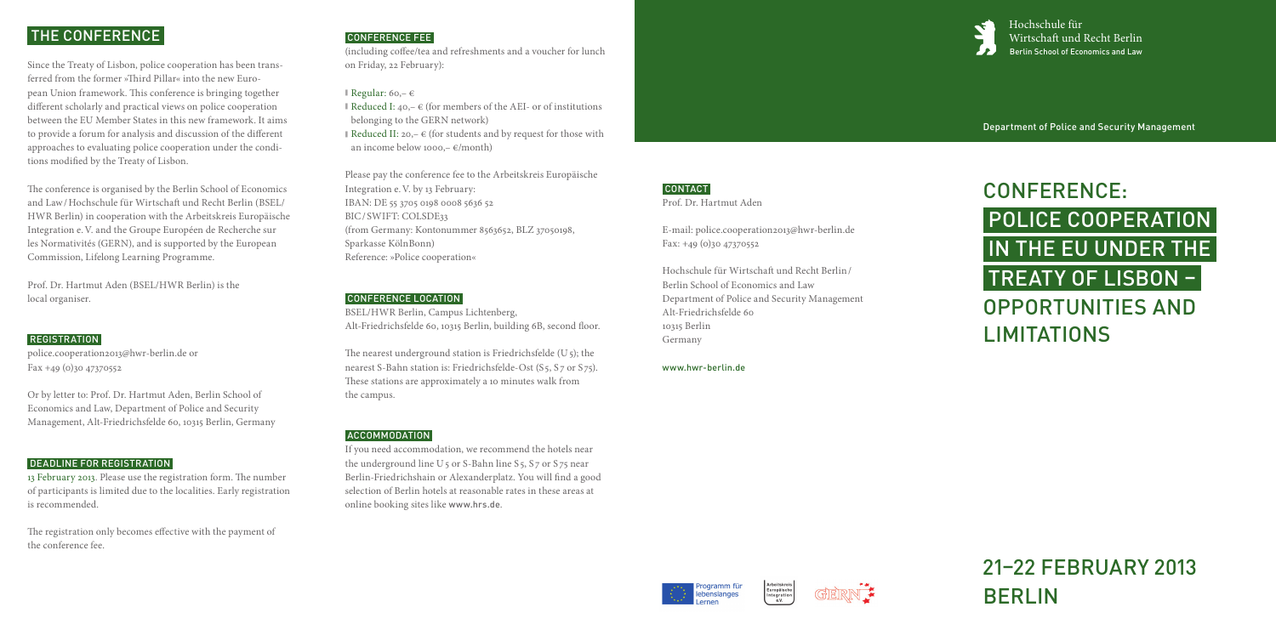Hochschule für Wirtschaft und Recht Berlin Berlin School of Economics and Law

Department of Police and Security Management

# CONFERENCE: Police Cooperation in the EU under the Treaty of Lisbon – Opportunities and **LIMITATIONS**

# 21–22 February 2013 Berlin

# The Conference

Since the Treaty of Lisbon, police cooperation has been transferred from the former »Third Pillar« into the new European Union framework. This conference is bringing together different scholarly and practical views on police cooperation between the EU Member States in this new framework. It aims to provide a forum for analysis and discussion of the different approaches to evaluating police cooperation under the conditions modified by the Treaty of Lisbon.

The conference is organised by the Berlin School of Economics and Law/Hochschule für Wirtschaft und Recht Berlin (BSEL/ HWR Berlin) in cooperation with the Arbeitskreis Europäische Integration e.V. and the Groupe Européen de Recherche sur les Normativités (GERN), and is supported by the European Commission, Lifelong Learning Programme.

Prof. Dr. Hartmut Aden (BSEL/HWR Berlin) is the local organiser.

## **REGISTRATION**

police.cooperation2013@hwr-berlin.de or Fax +49 (0)30 47370552

The nearest underground station is Friedrichsfelde  $(U_5)$ ; the nearest S-Bahn station is: Friedrichsfelde-Ost (S5, S7 or S75). These stations are approximately a 10 minutes walk from the campus.

Or by letter to: Prof. Dr. Hartmut Aden, Berlin School of Economics and Law, Department of Police and Security Management, Alt-Friedrichsfelde 60, 10315 Berlin, Germany

#### Deadline for registration

E-mail: police.cooperation2013@hwr-berlin.de  $Fax: +49(0)3047370552$ 

13 February 2013. Please use the registration form. The number of participants is limited due to the localities. Early registration is recommended.

The registration only becomes effective with the payment of the conference fee.

# CONFERENCE FEE

(including coffee/tea and refreshments and a voucher for lunch on Friday, 22 February):

#### **Regular:** 60, –  $\in$

- **I** Reduced I:  $40 \epsilon$  (for members of the AEI- or of institutions belonging to the GERN network)
- Reduced II: 20,  $\in$  (for students and by request for those with an income below 1000, $-\epsilon$ /month)

Please pay the conference fee to the Arbeitskreis Europäische Integration e.V. by 13 February: IBAN: DE 55 3705 0198 0008 5636 52 BIC/ SWIFT: COLSDE33 (from Germany: Kontonummer 8563652, BLZ 37050198, Sparkasse KölnBonn) Reference: »Police cooperation«

#### Conference location

BSEL/HWR Berlin, Campus Lichtenberg, Alt-Friedrichsfelde 60, 10315 Berlin, building 6B, second floor.

## Accommodation

If you need accommodation, we recommend the hotels near the underground line  $U_5$  or S-Bahn line S<sub>5</sub>, S<sub>7</sub> or S<sub>75</sub> near Berlin-Friedrichshain or Alexanderplatz. You will find a good selection of Berlin hotels at reasonable rates in these areas at online booking sites like www.hrs.de.

# **CONTACT**

Prof. Dr. Hartmut Aden

Hochschule für Wirtschaft und Recht Berlin/ Berlin School of Economics and Law Department of Police and Security Management Alt-Friedrichsfelde 60 10315 Berlin Germany

#### www.hwr-berlin.de





Europäische